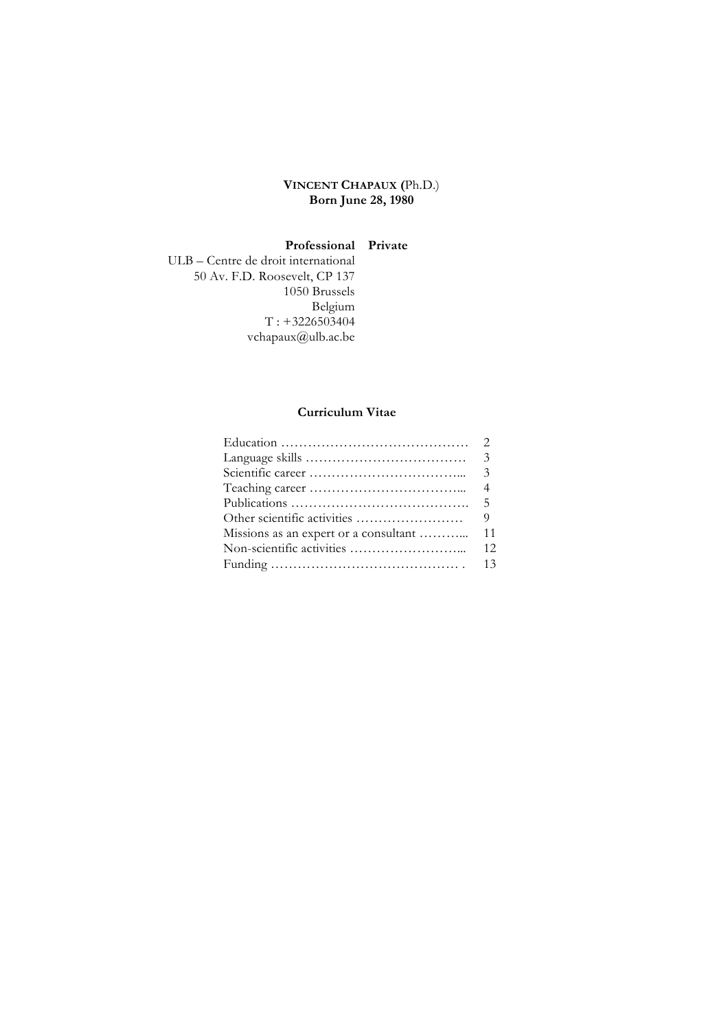# **VINCENT CHAPAUX (**Ph.D.) **Born June 28, 1980**

### **Professional Private**

ULB – Centre de droit international 50 Av. F.D. Roosevelt, CP 137 1050 Brussels Belgium  $T: +3226503404$ vchapaux@ulb.ac.be

# **Curriculum Vitae**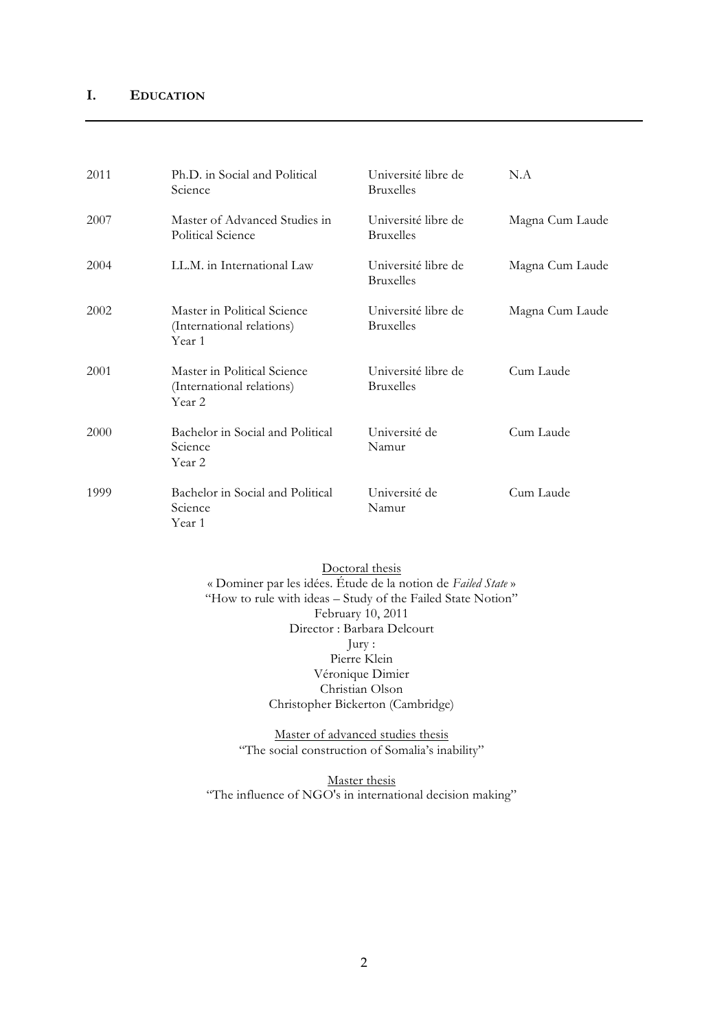# **I. EDUCATION**

| 2011 | Ph.D. in Social and Political<br>Science                           | Université libre de<br><b>Bruxelles</b> | N.A             |
|------|--------------------------------------------------------------------|-----------------------------------------|-----------------|
| 2007 | Master of Advanced Studies in<br>Political Science                 | Université libre de<br><b>Bruxelles</b> | Magna Cum Laude |
| 2004 | LL.M. in International Law                                         | Université libre de<br><b>Bruxelles</b> | Magna Cum Laude |
| 2002 | Master in Political Science<br>(International relations)<br>Year 1 | Université libre de<br><b>Bruxelles</b> | Magna Cum Laude |
| 2001 | Master in Political Science<br>(International relations)<br>Year 2 | Université libre de<br><b>Bruxelles</b> | Cum Laude       |
| 2000 | Bachelor in Social and Political<br>Science<br>Year 2              | Université de<br>Namur                  | Cum Laude       |
| 1999 | Bachelor in Social and Political<br>Science<br>Year 1              | Université de<br>Namur                  | Cum Laude       |

Doctoral thesis « Dominer par les idées. Étude de la notion de *Failed State* » "How to rule with ideas – Study of the Failed State Notion" February 10, 2011 Director : Barbara Delcourt Jury : Pierre Klein Véronique Dimier Christian Olson Christopher Bickerton (Cambridge)

> Master of advanced studies thesis "The social construction of Somalia's inability"

Master thesis "The influence of NGO's in international decision making"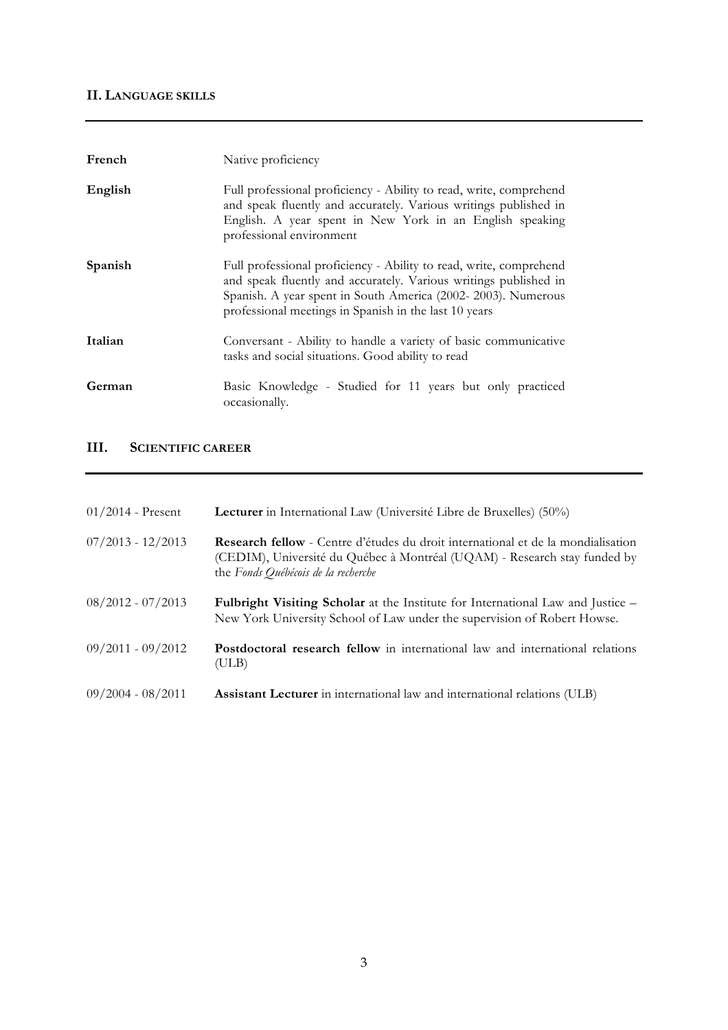# **II. LANGUAGE SKILLS**

| French  | Native proficiency                                                                                                                                                                                                                                              |
|---------|-----------------------------------------------------------------------------------------------------------------------------------------------------------------------------------------------------------------------------------------------------------------|
| English | Full professional proficiency - Ability to read, write, comprehend<br>and speak fluently and accurately. Various writings published in<br>English. A year spent in New York in an English speaking<br>professional environment                                  |
| Spanish | Full professional proficiency - Ability to read, write, comprehend<br>and speak fluently and accurately. Various writings published in<br>Spanish. A year spent in South America (2002-2003). Numerous<br>professional meetings in Spanish in the last 10 years |
| Italian | Conversant - Ability to handle a variety of basic communicative<br>tasks and social situations. Good ability to read                                                                                                                                            |
| German  | Basic Knowledge - Studied for 11 years but only practiced<br>occasionally.                                                                                                                                                                                      |

# **III. SCIENTIFIC CAREER**

| $01/2014$ - Present | Lecturer in International Law (Université Libre de Bruxelles) (50%)                                                                                                                                         |
|---------------------|-------------------------------------------------------------------------------------------------------------------------------------------------------------------------------------------------------------|
| $07/2013 - 12/2013$ | <b>Research fellow</b> - Centre d'études du droit international et de la mondialisation<br>(CEDIM), Université du Québec à Montréal (UQAM) - Research stay funded by<br>the Fonds Québécois de la recherche |
| $08/2012 - 07/2013$ | <b>Fulbright Visiting Scholar</b> at the Institute for International Law and Justice –<br>New York University School of Law under the supervision of Robert Howse.                                          |
| $09/2011 - 09/2012$ | <b>Postdoctoral research fellow</b> in international law and international relations<br>(ULB)                                                                                                               |
| $09/2004 - 08/2011$ | Assistant Lecturer in international law and international relations (ULB)                                                                                                                                   |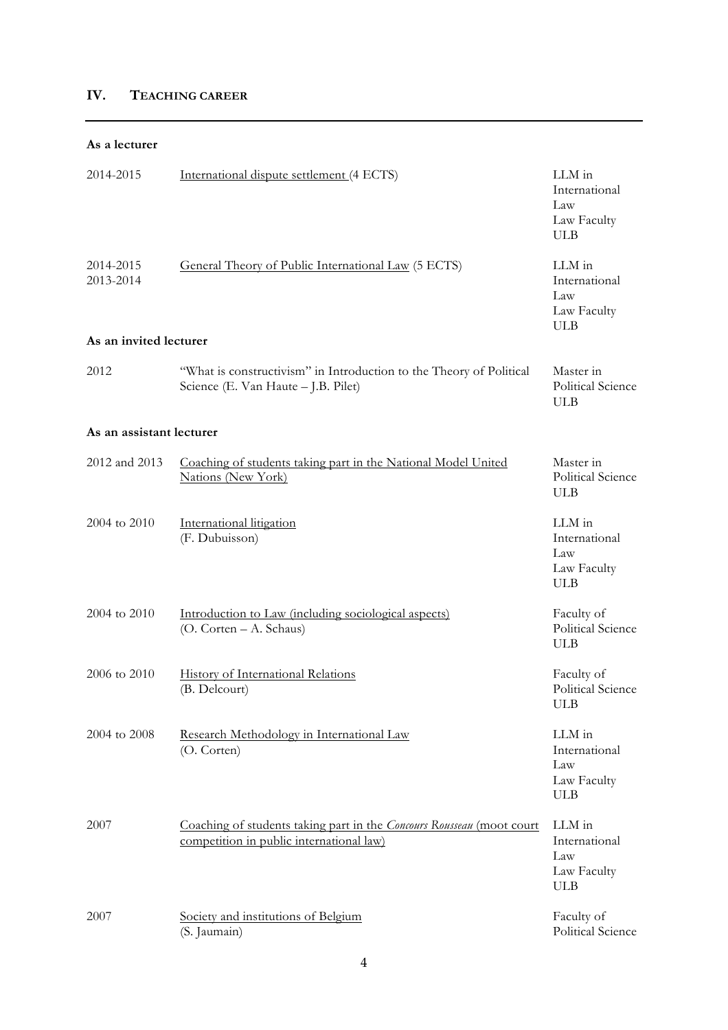# **IV. TEACHING CAREER**

### **As a lecturer**

| 2014-2015                | International dispute settlement (4 ECTS)                                                                         | LLM in<br>International<br>Law<br>Law Faculty<br><b>ULB</b> |
|--------------------------|-------------------------------------------------------------------------------------------------------------------|-------------------------------------------------------------|
| 2014-2015<br>2013-2014   | General Theory of Public International Law (5 ECTS)                                                               | LLM in<br>International<br>Law<br>Law Faculty<br><b>ULB</b> |
| As an invited lecturer   |                                                                                                                   |                                                             |
| 2012                     | "What is constructivism" in Introduction to the Theory of Political<br>Science (E. Van Haute - J.B. Pilet)        | Master in<br>Political Science<br><b>ULB</b>                |
| As an assistant lecturer |                                                                                                                   |                                                             |
| 2012 and 2013            | Coaching of students taking part in the National Model United<br>Nations (New York)                               | Master in<br>Political Science<br><b>ULB</b>                |
| 2004 to 2010             | International litigation<br>(F. Dubuisson)                                                                        | LLM in<br>International<br>Law<br>Law Faculty<br><b>ULB</b> |
| 2004 to 2010             | Introduction to Law (including sociological aspects)<br>(O. Corten - A. Schaus)                                   | Faculty of<br>Political Science<br><b>ULB</b>               |
| 2006 to 2010             | History of International Relations<br>(B. Delcourt)                                                               | Faculty of<br>Political Science<br>ULB                      |
| 2004 to 2008             | Research Methodology in International Law<br>(O. Corten)                                                          | LLM in<br>International<br>Law<br>Law Faculty<br><b>ULB</b> |
| 2007                     | Coaching of students taking part in the Concours Rousseau (moot court<br>competition in public international law) | LLM in<br>International<br>Law<br>Law Faculty<br>ULB        |
| 2007                     | Society and institutions of Belgium<br>(S. Jaumain)                                                               | Faculty of<br>Political Science                             |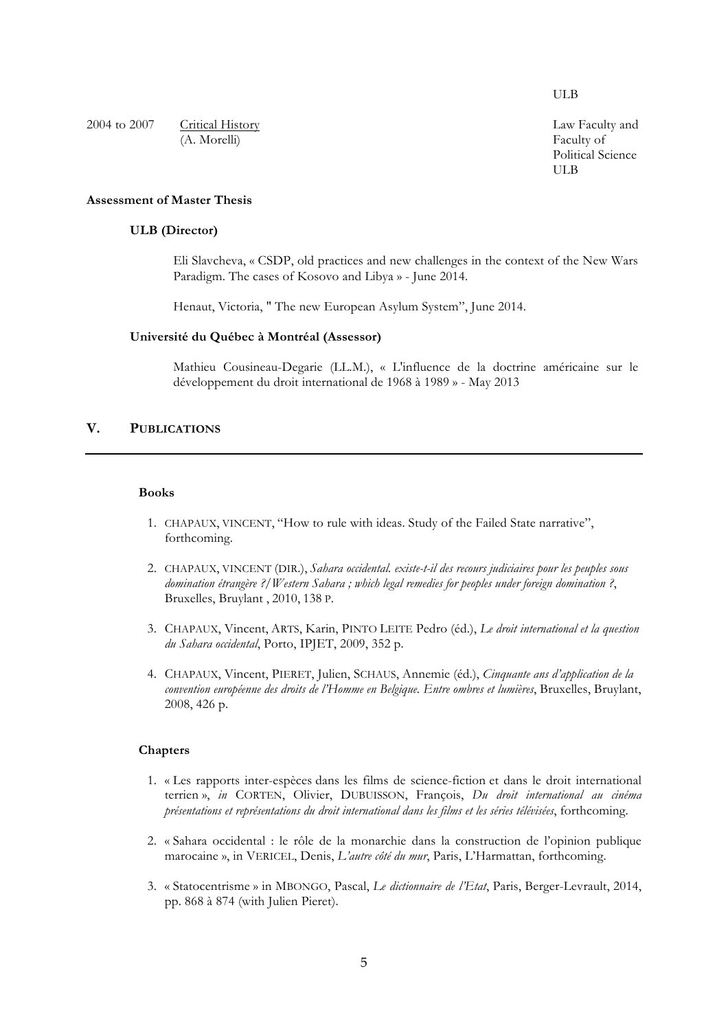ULB

2004 to 2007 Critical History (A. Morelli)

Law Faculty and Faculty of Political Science ULB

## **Assessment of Master Thesis**

## **ULB (Director)**

Eli Slavcheva, « CSDP, old practices and new challenges in the context of the New Wars Paradigm. The cases of Kosovo and Libya » - June 2014.

Henaut, Victoria, " The new European Asylum System", June 2014.

#### **Université du Québec à Montréal (Assessor)**

Mathieu Cousineau-Degarie (LL.M.), « L'influence de la doctrine américaine sur le développement du droit international de 1968 à 1989 » - May 2013

# **V. PUBLICATIONS**

### **Books**

- 1. CHAPAUX, VINCENT, "How to rule with ideas. Study of the Failed State narrative", forthcoming.
- 2. CHAPAUX, VINCENT (DIR.), *Sahara occidental. existe-t-il des recours judiciaires pour les peuples sous domination étrangère ?/Western Sahara ; which legal remedies for peoples under foreign domination ?*, Bruxelles, Bruylant , 2010, 138 P.
- 3. CHAPAUX, Vincent, ARTS, Karin, PINTO LEITE Pedro (éd.), *Le droit international et la question du Sahara occidental*, Porto, IPJET, 2009, 352 p.
- 4. CHAPAUX, Vincent, PIERET, Julien, SCHAUS, Annemie (éd.), *Cinquante ans d'application de la convention européenne des droits de l'Homme en Belgique. Entre ombres et lumières*, Bruxelles, Bruylant, 2008, 426 p.

### **Chapters**

- 1. « Les rapports inter-espèces dans les films de science-fiction et dans le droit international terrien », *in* CORTEN, Olivier, DUBUISSON, François, *Du droit international au cinéma présentations et représentations du droit international dans les films et les séries télévisées*, forthcoming.
- 2. « Sahara occidental : le rôle de la monarchie dans la construction de l'opinion publique marocaine », in VERICEL, Denis, *L'autre côté du mur*, Paris, L'Harmattan, forthcoming.
- 3. « Statocentrisme » in MBONGO, Pascal, *Le dictionnaire de l'Etat*, Paris, Berger-Levrault, 2014, pp. 868 à 874 (with Julien Pieret).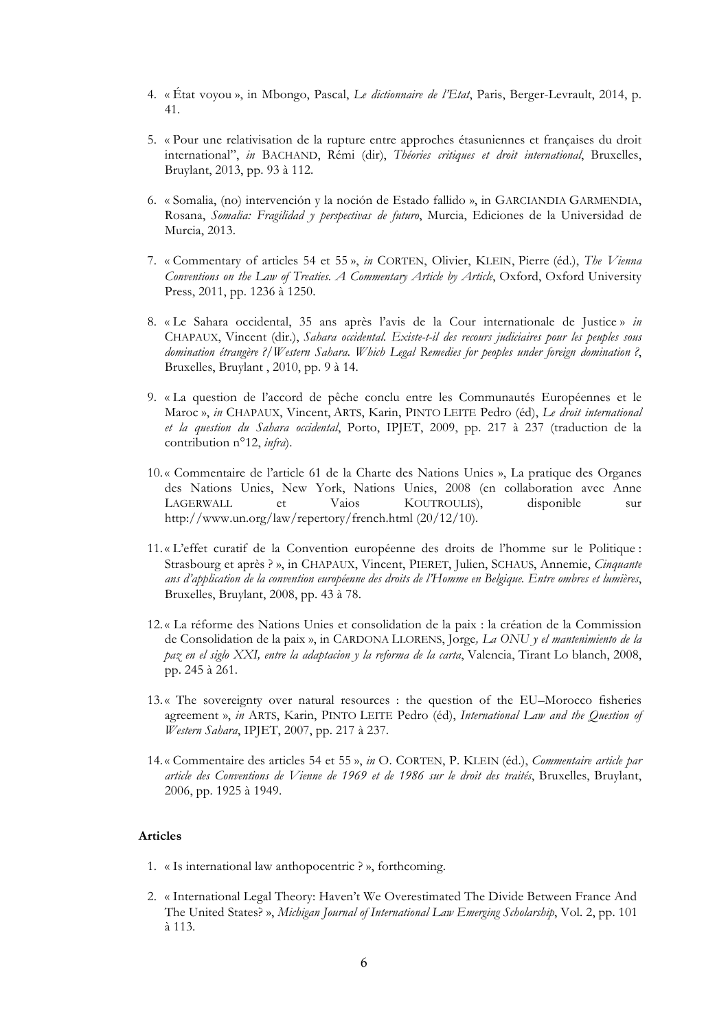- 4. « État voyou », in Mbongo, Pascal, *Le dictionnaire de l'Etat*, Paris, Berger-Levrault, 2014, p. 41.
- 5. « Pour une relativisation de la rupture entre approches étasuniennes et françaises du droit international", *in* BACHAND, Rémi (dir), *Théories critiques et droit international*, Bruxelles, Bruylant, 2013, pp. 93 à 112.
- 6. « Somalia, (no) intervención y la noción de Estado fallido », in GARCIANDIA GARMENDIA, Rosana, *Somalia: Fragilidad y perspectivas de futuro*, Murcia, Ediciones de la Universidad de Murcia, 2013.
- 7. « Commentary of articles 54 et 55 », *in* CORTEN, Olivier, KLEIN, Pierre (éd.), *The Vienna Conventions on the Law of Treaties. A Commentary Article by Article*, Oxford, Oxford University Press, 2011, pp. 1236 à 1250.
- 8. « Le Sahara occidental, 35 ans après l'avis de la Cour internationale de Justice » *in*  CHAPAUX, Vincent (dir.), *Sahara occidental. Existe-t-il des recours judiciaires pour les peuples sous domination étrangère ?/Western Sahara. Which Legal Remedies for peoples under foreign domination ?*, Bruxelles, Bruylant , 2010, pp. 9 à 14.
- 9. « La question de l'accord de pêche conclu entre les Communautés Européennes et le Maroc », *in* CHAPAUX, Vincent, ARTS, Karin, PINTO LEITE Pedro (éd), *Le droit international et la question du Sahara occidental*, Porto, IPJET, 2009, pp. 217 à 237 (traduction de la contribution n°12, *infra*).
- 10.« Commentaire de l'article 61 de la Charte des Nations Unies », La pratique des Organes des Nations Unies, New York, Nations Unies, 2008 (en collaboration avec Anne LAGERWALL et Vaios KOUTROULIS), disponible sur http://www.un.org/law/repertory/french.html (20/12/10).
- 11.« L'effet curatif de la Convention européenne des droits de l'homme sur le Politique : Strasbourg et après ? », in CHAPAUX, Vincent, PIERET, Julien, SCHAUS, Annemie, *Cinquante ans d'application de la convention européenne des droits de l'Homme en Belgique. Entre ombres et lumières*, Bruxelles, Bruylant, 2008, pp. 43 à 78.
- 12.« La réforme des Nations Unies et consolidation de la paix : la création de la Commission de Consolidation de la paix », in CARDONA LLORENS, Jorge*, La ONU y el mantenimiento de la paz en el siglo XXI, entre la adaptacion y la reforma de la carta*, Valencia, Tirant Lo blanch, 2008, pp. 245 à 261.
- 13.« The sovereignty over natural resources : the question of the EU–Morocco fisheries agreement », *in* ARTS, Karin, PINTO LEITE Pedro (éd), *International Law and the Question of Western Sahara*, IPJET, 2007, pp. 217 à 237.
- 14.« Commentaire des articles 54 et 55 », *in* O. CORTEN, P. KLEIN (éd.), *Commentaire article par article des Conventions de Vienne de 1969 et de 1986 sur le droit des traités*, Bruxelles, Bruylant, 2006, pp. 1925 à 1949.

### **Articles**

- 1. « Is international law anthopocentric ? », forthcoming.
- 2. « International Legal Theory: Haven't We Overestimated The Divide Between France And The United States? », *Michigan Journal of International Law Emerging Scholarship*, Vol. 2, pp. 101 à 113.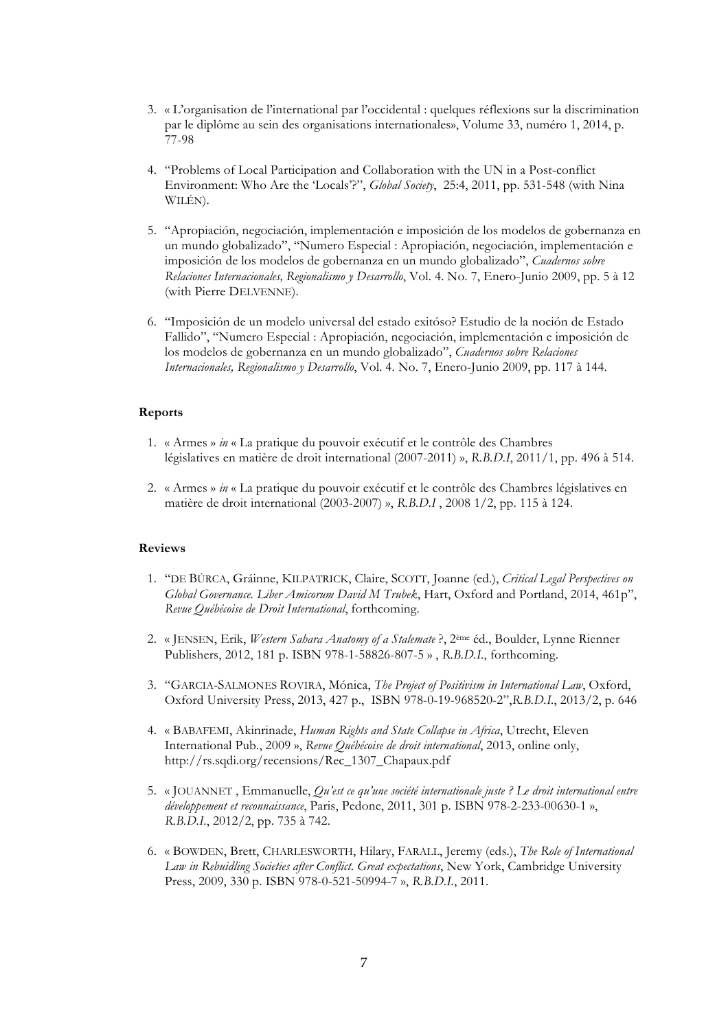- 3. « L'organisation de l'international par l'occidental : quelques réflexions sur la discrimination par le diplôme au sein des organisations internationales», Volume 33, numéro 1, 2014, p. 77-98
- 4. "Problems of Local Participation and Collaboration with the UN in a Post-conflict Environment: Who Are the 'Locals'?", *Global Society*, 25:4, 2011, pp. 531-548 (with Nina WILÉN).
- 5. "Apropiación, negociación, implementación e imposición de los modelos de gobernanza en un mundo globalizado", "Numero Especial : Apropiación, negociación, implementación e imposición de los modelos de gobernanza en un mundo globalizado", *Cuadernos sobre Relaciones Internacionales, Regionalismo y Desarrollo*, Vol. 4. No. 7, Enero-Junio 2009, pp. 5 à 12 (with Pierre DELVENNE).
- 6. "Imposición de un modelo universal del estado exitóso? Estudio de la noción de Estado Fallido", "Numero Especial : Apropiación, negociación, implementación e imposición de los modelos de gobernanza en un mundo globalizado", *Cuadernos sobre Relaciones Internacionales, Regionalismo y Desarrollo*, Vol. 4. No. 7, Enero-Junio 2009, pp. 117 à 144.

### **Reports**

- 1. « Armes » *in* « La pratique du pouvoir exécutif et le contrôle des Chambres législatives en matière de droit international (2007-2011) », *R.B.D.I*, 2011/1, pp. 496 à 514.
- 2. « Armes » *in* « La pratique du pouvoir exécutif et le contrôle des Chambres législatives en matière de droit international (2003-2007) », *R.B.D.I* , 2008 1/2, pp. 115 à 124.

#### **Reviews**

- 1. "DE BÚRCA, Gráinne, KILPATRICK, Claire, SCOTT, Joanne (ed.), *Critical Legal Perspectives on Global Governance. Liber Amicorum David M Trubek*, Hart, Oxford and Portland, 2014, 461p", *Revue Québécoise de Droit International*, forthcoming.
- 2. « JENSEN, Erik, *Western Sahara Anatomy of a Stalemate* ?, 2ème éd., Boulder, Lynne Rienner Publishers, 2012, 181 p. ISBN 978-1-58826-807-5 » , *R.B.D.I.*, forthcoming.
- 3. "GARCIA-SALMONES ROVIRA, Mónica, *The Project of Positivism in International Law*, Oxford, Oxford University Press, 2013, 427 p., ISBN 978-0-19-968520-2",*R.B.D.I.*, 2013/2, p. 646
- 4. « BABAFEMI, Akinrinade, *Human Rights and State Collapse in Africa*, Utrecht, Eleven International Pub., 2009 », *Revue Québécoise de droit international*, 2013, online only, http://rs.sqdi.org/recensions/Rec\_1307\_Chapaux.pdf
- 5. « JOUANNET , Emmanuelle, *Qu'est ce qu'une société internationale juste ? Le droit international entre développement et reconnaissance*, Paris, Pedone, 2011, 301 p. ISBN 978-2-233-00630-1 », *R.B.D.I.*, 2012/2, pp. 735 à 742.
- 6. « BOWDEN, Brett, CHARLESWORTH, Hilary, FARALL, Jeremy (eds.), *The Role of International Law in Rebuidling Societies after Conflict*. *Great expectations*, New York, Cambridge University Press, 2009, 330 p. ISBN 978-0-521-50994-7 », *R.B.D.I.*, 2011.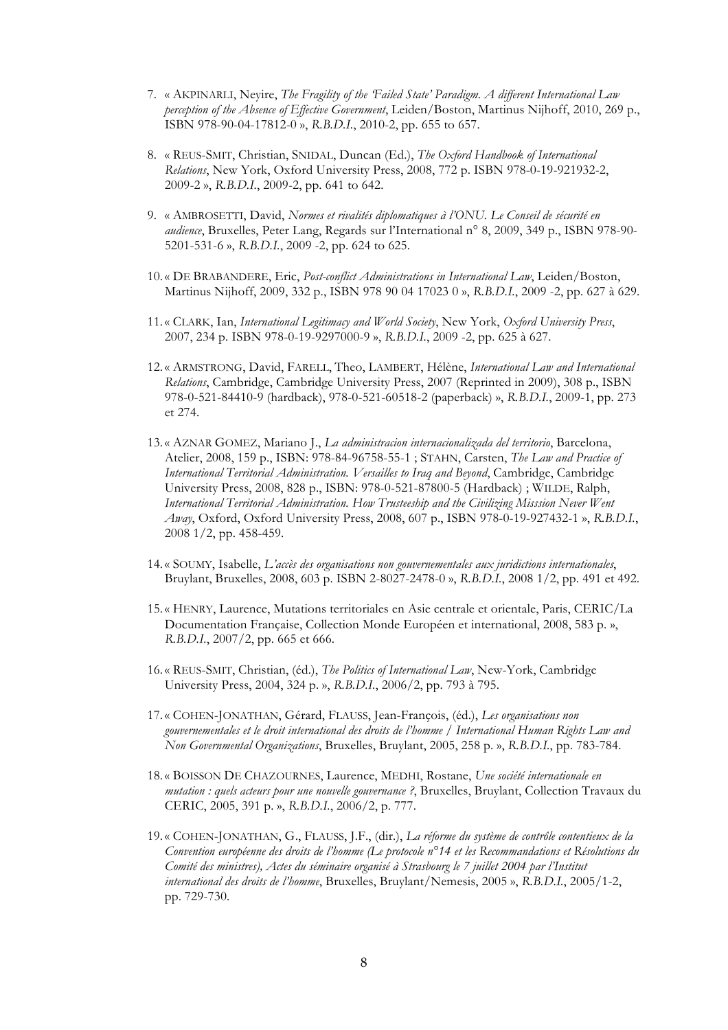- 7. « AKPINARLI, Neyire, *The Fragility of the 'Failed State' Paradigm. A different International Law perception of the Absence of Effective Government*, Leiden/Boston, Martinus Nijhoff, 2010, 269 p., ISBN 978-90-04-17812-0 », *R.B.D.I.*, 2010-2, pp. 655 to 657.
- 8. « REUS-SMIT, Christian, SNIDAL, Duncan (Ed.), *The Oxford Handbook of International Relations*, New York, Oxford University Press, 2008, 772 p. ISBN 978-0-19-921932-2, 2009-2 », *R.B.D.I.*, 2009-2, pp. 641 to 642.
- 9. « AMBROSETTI, David, *Normes et rivalités diplomatiques à l'ONU. Le Conseil de sécurité en audience*, Bruxelles, Peter Lang, Regards sur l'International n° 8, 2009, 349 p., ISBN 978-90- 5201-531-6 », *R.B.D.I.*, 2009 -2, pp. 624 to 625.
- 10.« DE BRABANDERE, Eric, *Post-conflict Administrations in International Law*, Leiden/Boston, Martinus Nijhoff, 2009, 332 p., ISBN 978 90 04 17023 0 », *R.B.D.I.*, 2009 -2, pp. 627 à 629.
- 11.« CLARK, Ian, *International Legitimacy and World Society*, New York, *Oxford University Press*, 2007, 234 p. ISBN 978-0-19-9297000-9 », *R.B.D.I.*, 2009 -2, pp. 625 à 627.
- 12.« ARMSTRONG, David, FARELL, Theo, LAMBERT, Hélène, *International Law and International Relations*, Cambridge, Cambridge University Press, 2007 (Reprinted in 2009), 308 p., ISBN 978-0-521-84410-9 (hardback), 978-0-521-60518-2 (paperback) », *R.B.D.I.*, 2009-1, pp. 273 et 274.
- 13.« AZNAR GOMEZ, Mariano J., *La administracion internacionalizada del territorio*, Barcelona, Atelier, 2008, 159 p., ISBN: 978-84-96758-55-1 ; STAHN, Carsten, *The Law and Practice of International Territorial Administration. Versailles to Iraq and Beyond*, Cambridge, Cambridge University Press, 2008, 828 p., ISBN: 978-0-521-87800-5 (Hardback) ; WILDE, Ralph, *International Territorial Administration. How Trusteeship and the Civilizing Misssion Never Went Away*, Oxford, Oxford University Press, 2008, 607 p., ISBN 978-0-19-927432-1 », *R.B.D.I.*, 2008 1/2, pp. 458-459.
- 14.« SOUMY, Isabelle, *L'accès des organisations non gouvernementales aux juridictions internationales*, Bruylant, Bruxelles, 2008, 603 p. ISBN 2-8027-2478-0 », *R.B.D.I.*, 2008 1/2, pp. 491 et 492.
- 15.« HENRY, Laurence, Mutations territoriales en Asie centrale et orientale, Paris, CERIC/La Documentation Française, Collection Monde Européen et international, 2008, 583 p. », *R.B.D.I.*, 2007/2, pp. 665 et 666.
- 16.« REUS-SMIT, Christian, (éd.), *The Politics of International Law*, New-York, Cambridge University Press, 2004, 324 p. », *R.B.D.I.*, 2006/2, pp. 793 à 795.
- 17.« COHEN-JONATHAN, Gérard, FLAUSS, Jean-François, (éd.), *Les organisations non gouvernementales et le droit international des droits de l'homme / International Human Rights Law and Non Governmental Organizations*, Bruxelles, Bruylant, 2005, 258 p. », *R.B.D.I.*, pp. 783-784.
- 18.« BOISSON DE CHAZOURNES, Laurence, MEDHI, Rostane, *Une société internationale en mutation : quels acteurs pour une nouvelle gouvernance ?*, Bruxelles, Bruylant, Collection Travaux du CERIC, 2005, 391 p. », *R.B.D.I.*, 2006/2, p. 777.
- 19.« COHEN-JONATHAN, G., FLAUSS, J.F., (dir.), *La réforme du système de contrôle contentieux de la Convention européenne des droits de l'homme (Le protocole n°14 et les Recommandations et Résolutions du Comité des ministres), Actes du séminaire organisé à Strasbourg le 7 juillet 2004 par l'Institut international des droits de l'homme*, Bruxelles, Bruylant/Nemesis, 2005 », *R.B.D.I.*, 2005/1-2, pp. 729-730.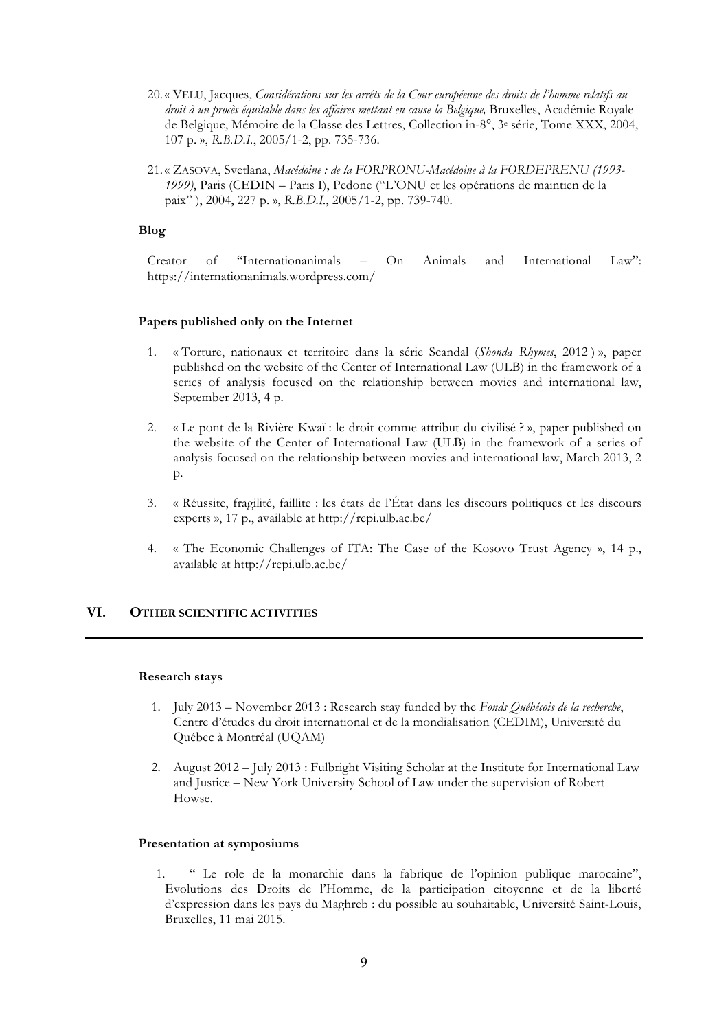- 20.« VELU, Jacques, *Considérations sur les arrêts de la Cour européenne des droits de l'homme relatifs au droit à un procès équitable dans les affaires mettant en cause la Belgique,* Bruxelles, Académie Royale de Belgique, Mémoire de la Classe des Lettres, Collection in-8°, 3e série, Tome XXX, 2004, 107 p. », *R.B.D.I.*, 2005/1-2, pp. 735-736.
- 21.« ZASOVA, Svetlana, *Macédoine : de la FORPRONU-Macédoine à la FORDEPRENU (1993- 1999)*, Paris (CEDIN – Paris I), Pedone ("L'ONU et les opérations de maintien de la paix" ), 2004, 227 p. », *R.B.D.I.*, 2005/1-2, pp. 739-740.

### **Blog**

Creator of "Internationanimals – On Animals and International Law": https://internationanimals.wordpress.com/

#### **Papers published only on the Internet**

- 1. « Torture, nationaux et territoire dans la série Scandal (*Shonda Rhymes*, 2012 ) », paper published on the website of the Center of International Law (ULB) in the framework of a series of analysis focused on the relationship between movies and international law, September 2013, 4 p.
- 2. « Le pont de la Rivière Kwaï : le droit comme attribut du civilisé ? », paper published on the website of the Center of International Law (ULB) in the framework of a series of analysis focused on the relationship between movies and international law, March 2013, 2 p.
- 3. « Réussite, fragilité, faillite : les états de l'État dans les discours politiques et les discours experts », 17 p., available at http://repi.ulb.ac.be/
- 4. « The Economic Challenges of ITA: The Case of the Kosovo Trust Agency », 14 p., available at http://repi.ulb.ac.be/

# **VI. OTHER SCIENTIFIC ACTIVITIES**

#### **Research stays**

- 1. July 2013 November 2013 : Research stay funded by the *Fonds Québécois de la recherche*, Centre d'études du droit international et de la mondialisation (CEDIM), Université du Québec à Montréal (UQAM)
- 2. August 2012 July 2013 : Fulbright Visiting Scholar at the Institute for International Law and Justice – New York University School of Law under the supervision of Robert Howse.

#### **Presentation at symposiums**

1. " Le role de la monarchie dans la fabrique de l'opinion publique marocaine", Evolutions des Droits de l'Homme, de la participation citoyenne et de la liberté d'expression dans les pays du Maghreb : du possible au souhaitable, Université Saint-Louis, Bruxelles, 11 mai 2015.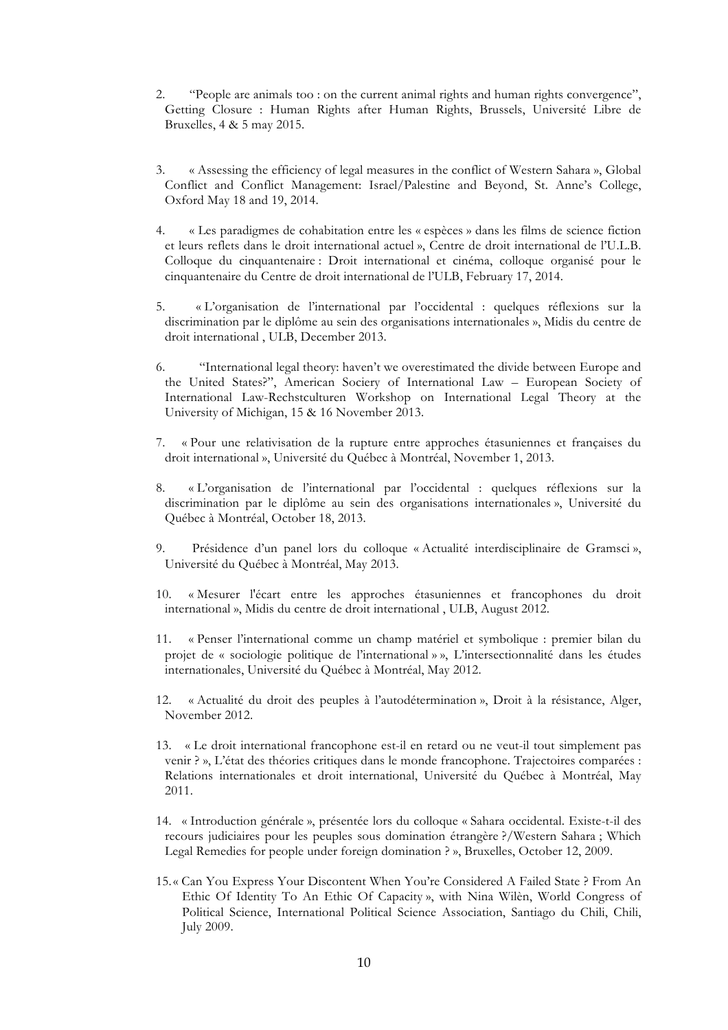- 2. "People are animals too : on the current animal rights and human rights convergence", Getting Closure : Human Rights after Human Rights, Brussels, Université Libre de Bruxelles, 4 & 5 may 2015.
- 3. « Assessing the efficiency of legal measures in the conflict of Western Sahara », Global Conflict and Conflict Management: Israel/Palestine and Beyond, St. Anne's College, Oxford May 18 and 19, 2014.
- 4. « Les paradigmes de cohabitation entre les « espèces » dans les films de science fiction et leurs reflets dans le droit international actuel », Centre de droit international de l'U.L.B. Colloque du cinquantenaire : Droit international et cinéma, colloque organisé pour le cinquantenaire du Centre de droit international de l'ULB, February 17, 2014.
- 5. « L'organisation de l'international par l'occidental : quelques réflexions sur la discrimination par le diplôme au sein des organisations internationales », Midis du centre de droit international , ULB, December 2013.
- 6. "International legal theory: haven't we overestimated the divide between Europe and the United States?", American Sociery of International Law – European Society of International Law-Rechstculturen Workshop on International Legal Theory at the University of Michigan, 15 & 16 November 2013.
- 7. « Pour une relativisation de la rupture entre approches étasuniennes et françaises du droit international », Université du Québec à Montréal, November 1, 2013.
- 8. « L'organisation de l'international par l'occidental : quelques réflexions sur la discrimination par le diplôme au sein des organisations internationales », Université du Québec à Montréal, October 18, 2013.
- 9. Présidence d'un panel lors du colloque « Actualité interdisciplinaire de Gramsci », Université du Québec à Montréal, May 2013.
- 10. « Mesurer l'écart entre les approches étasuniennes et francophones du droit international », Midis du centre de droit international , ULB, August 2012.
- 11. « Penser l'international comme un champ matériel et symbolique : premier bilan du projet de « sociologie politique de l'international » », L'intersectionnalité dans les études internationales, Université du Québec à Montréal, May 2012.
- 12. « Actualité du droit des peuples à l'autodétermination », Droit à la résistance, Alger, November 2012.
- 13. « Le droit international francophone est-il en retard ou ne veut-il tout simplement pas venir ? », L'état des théories critiques dans le monde francophone. Trajectoires comparées : Relations internationales et droit international, Université du Québec à Montréal, May 2011.
- 14. « Introduction générale », présentée lors du colloque « Sahara occidental. Existe-t-il des recours judiciaires pour les peuples sous domination étrangère ?/Western Sahara ; Which Legal Remedies for people under foreign domination ? », Bruxelles, October 12, 2009.
- 15.« Can You Express Your Discontent When You're Considered A Failed State ? From An Ethic Of Identity To An Ethic Of Capacity », with Nina Wilèn, World Congress of Political Science, International Political Science Association, Santiago du Chili, Chili, July 2009.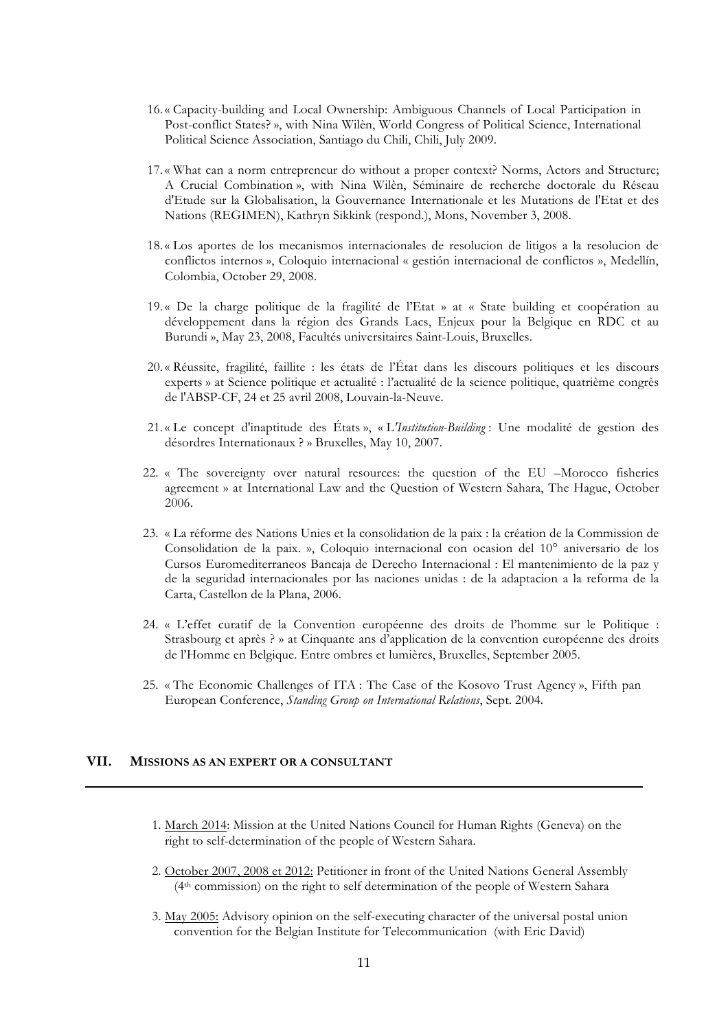- 16.« Capacity-building and Local Ownership: Ambiguous Channels of Local Participation in Post-conflict States? », with Nina Wilèn, World Congress of Political Science, International Political Science Association, Santiago du Chili, Chili, July 2009.
- 17.« What can a norm entrepreneur do without a proper context? Norms, Actors and Structure; A Crucial Combination », with Nina Wilèn, Séminaire de recherche doctorale du Réseau d'Etude sur la Globalisation, la Gouvernance Internationale et les Mutations de l'Etat et des Nations (REGIMEN), Kathryn Sikkink (respond.), Mons, November 3, 2008.
- 18.« Los aportes de los mecanismos internacionales de resolucion de litigos a la resolucion de conflictos internos », Coloquio internacional « gestión internacional de conflictos », Medellín, Colombia, October 29, 2008.
- 19.« De la charge politique de la fragilité de l'Etat » at « State building et coopération au développement dans la région des Grands Lacs, Enjeux pour la Belgique en RDC et au Burundi », May 23, 2008, Facultés universitaires Saint-Louis, Bruxelles.
- 20.« Réussite, fragilité, faillite : les états de l'État dans les discours politiques et les discours experts » at Science politique et actualité : l'actualité de la science politique, quatrième congrès de l'ABSP-CF, 24 et 25 avril 2008, Louvain-la-Neuve.
- 21.« Le concept d'inaptitude des États », « L*'Institution-Building* : Une modalité de gestion des désordres Internationaux ? » Bruxelles, May 10, 2007.
- 22. « The sovereignty over natural resources: the question of the EU –Morocco fisheries agreement » at International Law and the Question of Western Sahara, The Hague, October 2006.
- 23. « La réforme des Nations Unies et la consolidation de la paix : la création de la Commission de Consolidation de la paix. », Coloquio internacional con ocasion del 10° aniversario de los Cursos Euromediterraneos Bancaja de Derecho Internacional : El mantenimiento de la paz y de la seguridad internacionales por las naciones unidas : de la adaptacion a la reforma de la Carta, Castellon de la Plana, 2006.
- 24. « L'effet curatif de la Convention européenne des droits de l'homme sur le Politique : Strasbourg et après ? » at Cinquante ans d'application de la convention européenne des droits de l'Homme en Belgique. Entre ombres et lumières, Bruxelles, September 2005.
- 25. « The Economic Challenges of ITA : The Case of the Kosovo Trust Agency », Fifth pan European Conference, *Standing Group on International Relations*, Sept. 2004.

# **VII. MISSIONS AS AN EXPERT OR A CONSULTANT**

- 1. March 2014: Mission at the United Nations Council for Human Rights (Geneva) on the right to self-determination of the people of Western Sahara.
- 2. October 2007, 2008 et 2012: Petitioner in front of the United Nations General Assembly (4th commission) on the right to self determination of the people of Western Sahara
- 3. May 2005: Advisory opinion on the self-executing character of the universal postal union convention for the Belgian Institute for Telecommunication (with Eric David)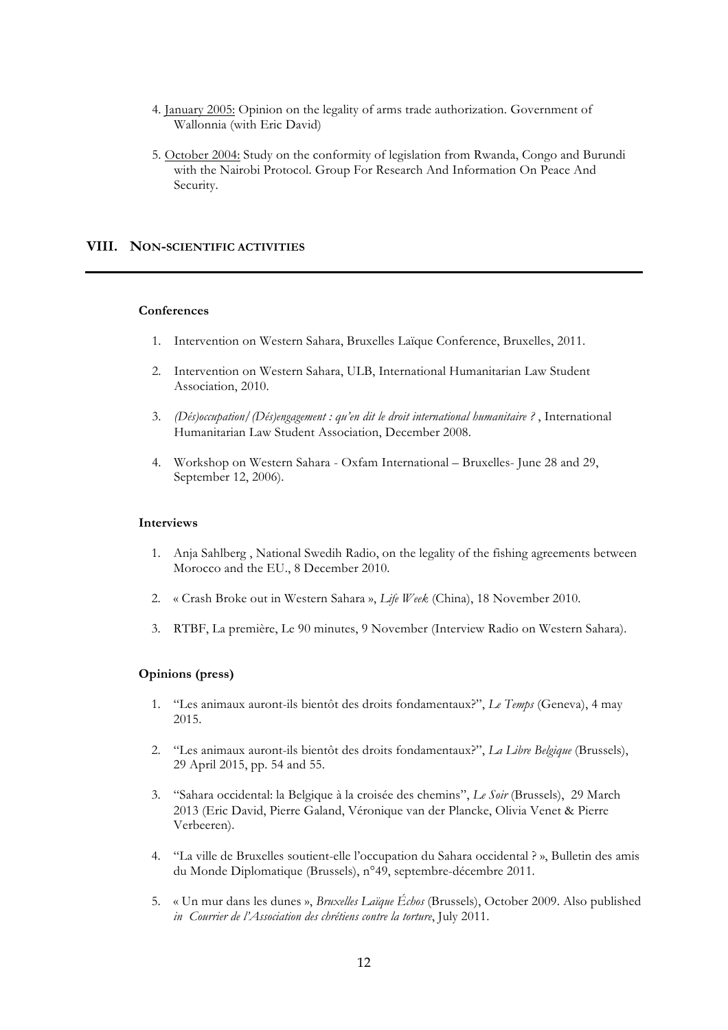- 4. January 2005: Opinion on the legality of arms trade authorization. Government of Wallonnia (with Eric David)
- 5. October 2004: Study on the conformity of legislation from Rwanda, Congo and Burundi with the Nairobi Protocol. Group For Research And Information On Peace And Security.

#### **VIII. NON-SCIENTIFIC ACTIVITIES**

#### **Conferences**

- 1. Intervention on Western Sahara, Bruxelles Laïque Conference, Bruxelles, 2011.
- 2. Intervention on Western Sahara, ULB, International Humanitarian Law Student Association, 2010.
- 3. *(Dés)occupation/(Dés)engagement : qu'en dit le droit international humanitaire ?* , International Humanitarian Law Student Association, December 2008.
- 4. Workshop on Western Sahara Oxfam International Bruxelles- June 28 and 29, September 12, 2006).

#### **Interviews**

- 1. Anja Sahlberg , National Swedih Radio, on the legality of the fishing agreements between Morocco and the EU., 8 December 2010.
- 2. « Crash Broke out in Western Sahara », *Life Week* (China), 18 November 2010.
- 3. RTBF, La première, Le 90 minutes, 9 November (Interview Radio on Western Sahara).

### **Opinions (press)**

- 1. "Les animaux auront-ils bientôt des droits fondamentaux?", *Le Temps* (Geneva), 4 may 2015.
- 2. "Les animaux auront-ils bientôt des droits fondamentaux?", *La Libre Belgique* (Brussels), 29 April 2015, pp. 54 and 55.
- 3. "Sahara occidental: la Belgique à la croisée des chemins", *Le Soir* (Brussels), 29 March 2013 (Eric David, Pierre Galand, Véronique van der Plancke, Olivia Venet & Pierre Verbeeren).
- 4. "La ville de Bruxelles soutient-elle l'occupation du Sahara occidental ? », Bulletin des amis du Monde Diplomatique (Brussels), n°49, septembre-décembre 2011.
- 5. « Un mur dans les dunes », *Bruxelles Laïque Échos* (Brussels), October 2009. Also published *in Courrier de l'Association des chrétiens contre la torture*, July 2011.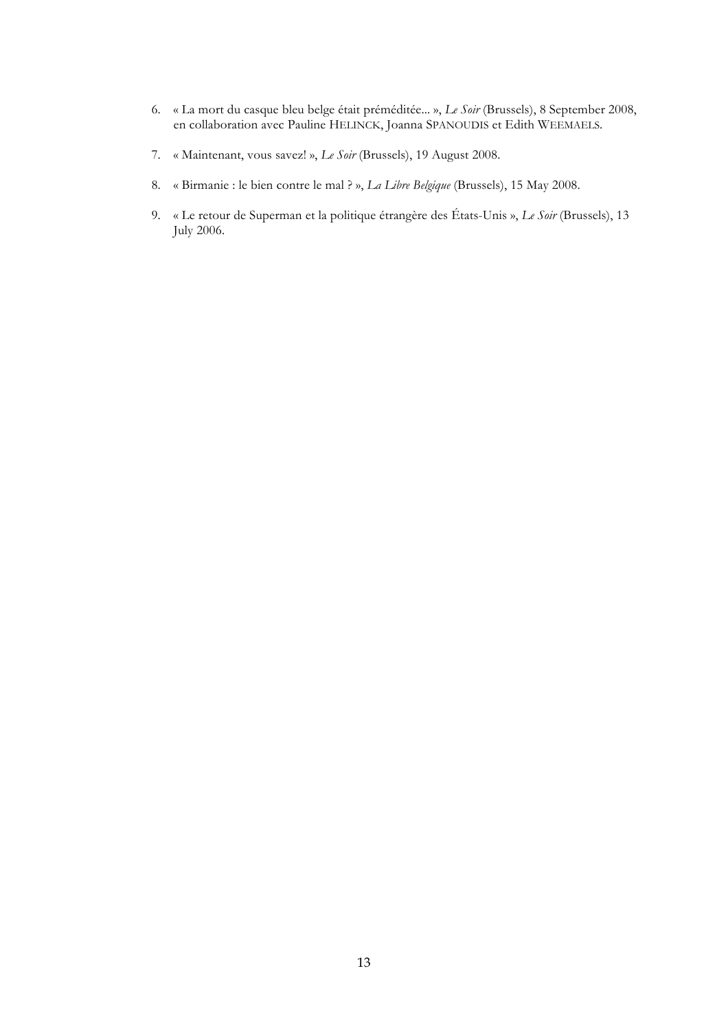- 6. « La mort du casque bleu belge était préméditée... », *Le Soir* (Brussels), 8 September 2008, en collaboration avec Pauline HELINCK, Joanna SPANOUDIS et Edith WEEMAELS.
- 7. « Maintenant, vous savez! », *Le Soir* (Brussels), 19 August 2008.
- 8. « Birmanie : le bien contre le mal ? », *La Libre Belgique* (Brussels), 15 May 2008.
- 9. « Le retour de Superman et la politique étrangère des États-Unis », *Le Soir* (Brussels), 13 July 2006.